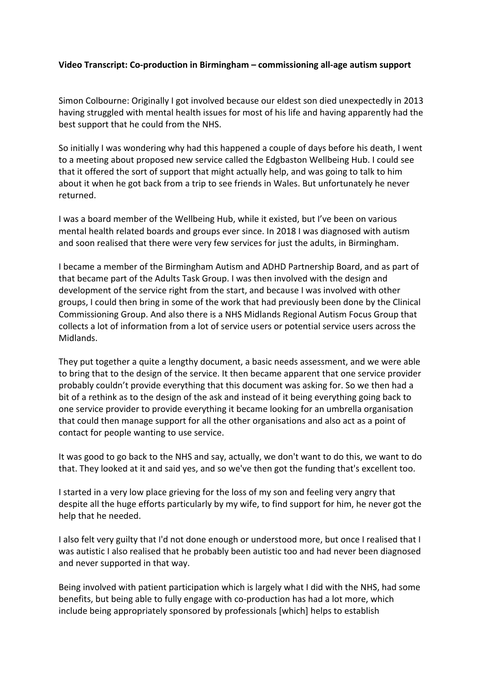## **Video Transcript: Co-production in Birmingham – commissioning all-age autism support**

Simon Colbourne: Originally I got involved because our eldest son died unexpectedly in 2013 having struggled with mental health issues for most of his life and having apparently had the best support that he could from the NHS.

So initially I was wondering why had this happened a couple of days before his death, I went to a meeting about proposed new service called the Edgbaston Wellbeing Hub. I could see that it offered the sort of support that might actually help, and was going to talk to him about it when he got back from a trip to see friends in Wales. But unfortunately he never returned.

I was a board member of the Wellbeing Hub, while it existed, but I've been on various mental health related boards and groups ever since. In 2018 I was diagnosed with autism and soon realised that there were very few services for just the adults, in Birmingham.

I became a member of the Birmingham Autism and ADHD Partnership Board, and as part of that became part of the Adults Task Group. I was then involved with the design and development of the service right from the start, and because I was involved with other groups, I could then bring in some of the work that had previously been done by the Clinical Commissioning Group. And also there is a NHS Midlands Regional Autism Focus Group that collects a lot of information from a lot of service users or potential service users across the Midlands.

They put together a quite a lengthy document, a basic needs assessment, and we were able to bring that to the design of the service. It then became apparent that one service provider probably couldn't provide everything that this document was asking for. So we then had a bit of a rethink as to the design of the ask and instead of it being everything going back to one service provider to provide everything it became looking for an umbrella organisation that could then manage support for all the other organisations and also act as a point of contact for people wanting to use service.

It was good to go back to the NHS and say, actually, we don't want to do this, we want to do that. They looked at it and said yes, and so we've then got the funding that's excellent too.

I started in a very low place grieving for the loss of my son and feeling very angry that despite all the huge efforts particularly by my wife, to find support for him, he never got the help that he needed.

I also felt very guilty that I'd not done enough or understood more, but once I realised that I was autistic I also realised that he probably been autistic too and had never been diagnosed and never supported in that way.

Being involved with patient participation which is largely what I did with the NHS, had some benefits, but being able to fully engage with co-production has had a lot more, which include being appropriately sponsored by professionals [which] helps to establish